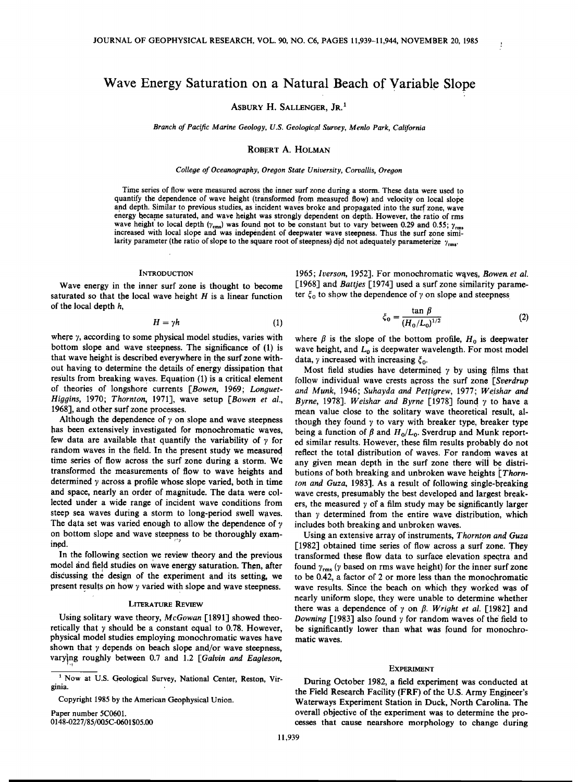# **Wave Energy Saturation on a Natural Beach of Variable Slope**

**ASBURY H. SALLENGER, JR. •** 

Branch of Pacific Marine Geology, U.S. Geological Survey, Menlo Park, California

## **ROBERT A. HOLMAN**

**College of Oceanography, Oregon State University, Corvallis, Oregon** 

**Time series of flow were measured across the inner surf zone during a storm. These data were used to quantify the dependence ofwave height (transformed from measured flow) and velocity on local slope**  and depth. Similar to previous studies, as incident waves broke and propagated into the surf zone, wave energy became saturated, and wave height was strongly dependent on depth. However, the ratio of rms wave height to local depth ( $\gamma_{\rm rms}$ ) was found not to be constant but to vary between 0.29 and 0.55;  $\gamma_{\rm rms}$ , increased with local slope and was independent of deepwater wave steepness. Thus the surf zone similarity parameter (the ratio of slope to the square root of steepness) did not adequately parameterize  $\gamma_{\rm rms}$ 

### **INTRODUCTION**

**Wave energy in the inner surf zone is thought to become saturated so that the local wave height H is a linear function of the local depth h,** 

$$
H = \gamma h \tag{1}
$$

where  $\gamma$ , according to some physical model studies, varies with **bottom slope and wave steepness. The significance of (1) is**  that wave height is described everywhere in the surf zone with**out having to determine the details of energy dissipation that results from breaking waves. Equation (1) is a critical element**  of theories of longshore currents [Bowen, 1969; Longuet-**Higgins, 1970; Thornton, 1971], wave setup [Bowen et al., 1968], and other surf zone processes.** 

Although the dependence of  $\gamma$  on slope and wave steepness **has been extensively investigated for monochromatic waves,**  few data are available that quantify the variability of  $\gamma$  for random waves in the field. In the present study we measured **time series of flow across the surf zone during a storm. We transformed the measurements of flow to wave heights and**  determined  $\gamma$  across a profile whose slope varied, both in time **and space, nearly an order of magnitude. The data were collected under a wide range of incident wave conditions from steep sea waves during a storm to long-period swell waves.**  The data set was varied enough to allow the dependence of  $\gamma$ **on bottom slope and wave steepness to be thoroughly exam**ined.

**In the following section we review theory and the previous model gnd field studies on wave energy saturation. Then, after**  discussing the design of the experiment and its setting, we **present results on how y varied with slope and wave steepness.** 

#### **LITERATURE REVIEW**

Using solitary wave theory, McGowan [1891] showed theoretically that  $\gamma$  should be a constant equal to 0.78. However, **physical model studies employing monochromatic waves have**  shown that  $\gamma$  depends on beach slope and/or wave steepness, varying roughly between 0.7 and 1.2 [Galvin and Eagleson,

**Copyright 1985 by the American Geophysical Union.** 

**Paper number 5C0601. 0 ! 48-0227/85/005 C-0601 \$05.00**  1965; Iverson, 1952]. For monochromatic waves, Bowen et al. **[1968] and Battjes [1974] used a surf zone similarity parame**ter  $\xi_0$  to show the dependence of  $\gamma$  on slope and steepness

$$
\zeta_0 = \frac{\tan \beta}{(H_0/L_0)^{1/2}}\tag{2}
$$

where  $\beta$  is the slope of the bottom profile,  $H_0$  is deepwater **wave height, and Lo is deepwater wavelength. For most model**  data,  $\gamma$  increased with increasing  $\xi_0$ .

Most field studies have determined  $\gamma$  by using films that follow individual wave crests across the surf zone [Sverdrup **and Munk, 1946; Suhayda and Petrigrew, 1977; Weishat and**  Byrne, 1978]. Weishar and Byrne [1978] found  $\gamma$  to have a **mean value close to the solitary wave theoretical result, al**though they found  $\gamma$  to vary with breaker type, breaker type being a function of  $\beta$  and  $H_0/L_0$ . Sverdrup and Munk report**ed similar results. However, these film results probably do not**  reflect the total distribution of waves. For random waves at **any given mean depth in the surf zone there wili be distri**butions of both breaking and unbroken wave heights [Thorn**ton and Guza, 1983]. As a result of following single-breaking wave crests, presumably the best developed and largest break**ers, the measured  $\gamma$  of a film study may be significantly larger than  $\gamma$  determined from the entire wave distribution, which **includes both breaking and unbroken waves.** 

**Using an extensive array of instruments, Thornton and Guza [1982] obtained time series of flow across a surf zone. They transformed these flow data to surface elevation speqtra and**  found  $\gamma_{\rm rms}$  ( $\gamma$  based on rms wave height) for the inner surf zone **to be 0.42, a factor of 2 or more less than the monochromatic**  wave results. Since the beach on which they worked was of **nearly uniform slope, they were unable to determine whether**  there was a dependence of  $\gamma$  on  $\beta$ . Wright et al. [1982] and Downing [1983] also found  $\gamma$  for random waves of the field to **be significantly lower than what was found for monochromatic waves.** 

#### **EXPERIMENT**

**During October 1982, a field experiment was conducted at the Field Research Facility (FRF) of the U.S. Army Engineer's Waterways Experiment Station in Duck, North Carolina. The overall objective of the experiment was to determine the processes that cause nearshore morphology to change during** 

<sup>&</sup>lt;sup>1</sup> Now at U.S. Geological Survey, National Center, Reston, Vir**ginia.**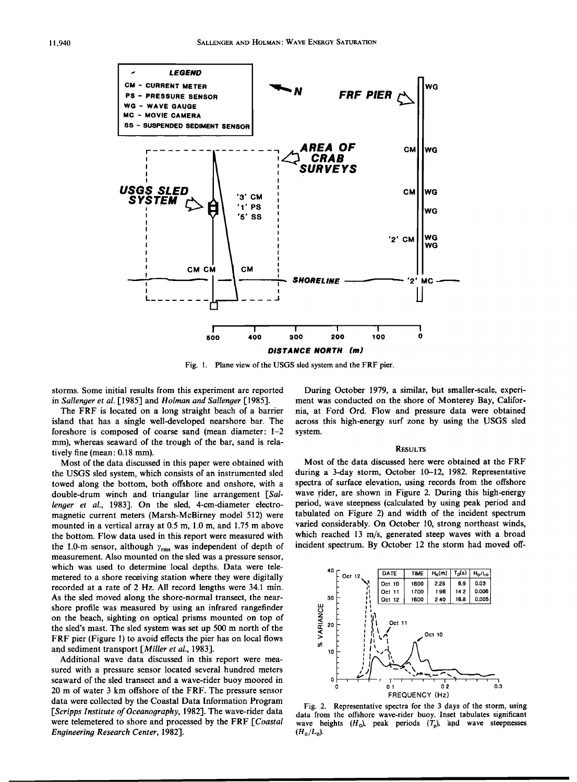

**Fig. 1. Plane view of the USGS sled system and the FRF pier.** 

**storms. Some initial results from this experiment are reported in \$allenger et al. [1985] and Holman and Sallenger [1985].** 

**The FRF is located on a long straight beach of a barrier island that has a single well-developed nearshore bar. The foreshore is composed of coarse sand (mean diameter: 1-2 mm), whereas seaward of the trough of the bar, sand is relatively fine (mean: 0.18 mm).** 

**Most of the data discussed in this paper were obtained with the USGS sled system, which consists of an instrumented sled towed along the bottom, both offshore and onshore, with a double-drum winch and triangular line arrangement [\$allenger et al., 1983]. On the sled, 4-cm-diameter electromagnetic current meters (Marsh-McBirney model 512) were mounted in a vertical array at 0.5 m, 1.0 m, and 1.75 m above the bottom. Flow data used in this report were measured with**  the 1.0-m sensor, although  $\gamma_{\rm rms}$  was independent of depth of **measurement. Also mounted on the sled was a pressure sensor, which was used to determine local depths. Data were telemetered to a shore receiving station where they were digitally recorded at a rate of 2 Hz. All record lengths were 34.1 min. As the sled moved along the shore-normal transect, the nearshore profile was measured by using an infrared rangefinder on the beach, sighting on optical prisms mounted on top of the sled's mast. The sled system was set up 500 m north of the FRF pier (Figure 1) to avoid effects the pier has on local flows and sediment transport [Miller et al., 1983].** 

**Additional wave data discussed in this report were measured with a pressure sensor located several hundred meters seaward of the sled transect and a wave-rider buoy moored in 20 m of water 3 km offshore of the FRF. The pressure sensor data were collected by the Coastal Data Information Program [Scripps Institute of Oceanography, 1982]. The wave-rider data were telemetered to shore and processed by the FRF [Coastal Engineering Research Center, 1982].** 

**During October 1979, a similar, but smaller-scale, experiment was conducted on the shore of Monterey Bay, Califor-. nia, at Ford Ord. Flow and pressure data were obtained across this high-energy surf zone by using the USGS sled system.** 

#### **RESULTS**

**Most of the data discussed here were obtained at the FRF during a 3-day storm, October 10-12, 1982. Representative**  spectra of surface elevation, using records from the offshore wave rider, are shown in Figure 2. During this high-energy **period, wave steepness (calculated by using peak period and tabulated on Figure 2) and width of the incident spectrum varied considerably. On October 10, strong northeast winds, which reached 13 m/s, generated steep waves with a broad incident spectrum. By October 12 the storm had moved off-**



**Fig. 2. Representative spectra for the 3 days of the storm, using**  data from the offshore wave-rider buoy. Inset tabulates significant wave heights  $(H_0)$ , peak periods  $(T_p)$ , and wave steepnesses  $(H_0/L_0)$ .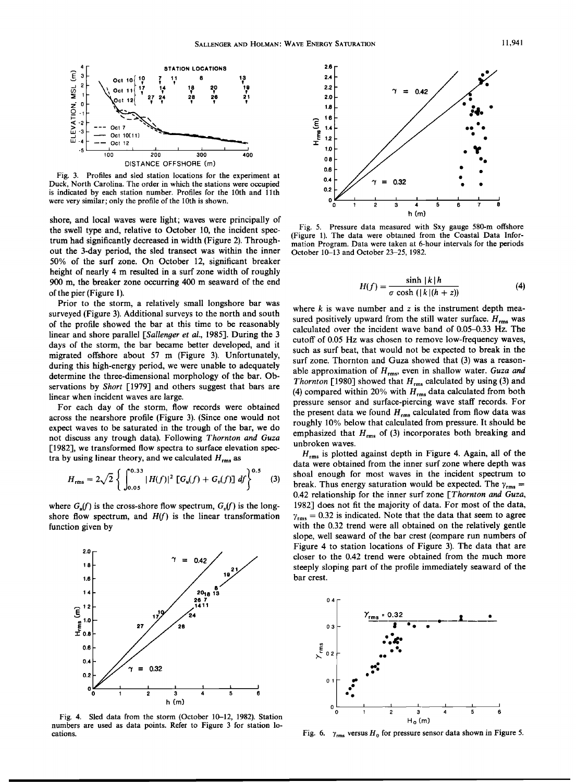

**Fig. 3. Profiles and sled station locations for the experiment at Duck, North Carolina. The order in which the stations were occupied is indicated by each station number. Profiles for the 10th and 11th were very similar; only the profile of the 10th is shown.** 

**shore, and local waves were light; waves were principally of the swell type and, relative to October 10, the incident spectrum had significantly decreased in width (Figure 2). Throughout the 3-day period, the sled transect was within the inner 50% of the surf zone. On October 12, significant breaker height of nearly 4 m resulted in a surf zone width of roughly 900 m, the breaker zone occurring 400 m seaward of the end of the pier (Figure 1).** 

**Prior to the storm, a relatively small longshore bar was surveyed (Figure 3). Additional surveys to the north and south of the profile showed the bar at this time to be reasonably linear and shore parallel [Sallenger et al., 1985]. During the 3 days of the storm, the bar became better developed, and it migrated offshore about 57 m (Figure 3). Unfortunately, during this high-energy period, we were unable to adequately determine the three-dimensional morphology of the bar. Observations by Short [1979] and others suggest that bars are linear when incident waves are large.** 

**For each day of the storm, flow records were obtained across the nearshore profile (Figure 3). (Since one would not expect waves to be saturated in the trough of the bar, we do not discuss any trough data). Following Thornton and Guza [1982], we transformed flow spectra to surface elevation spec**tra by using linear theory, and we calculated  $H_{\rm rms}$  as

$$
H_{\rm rms} = 2\sqrt{2} \left\{ \int_{0.05}^{0.33} |H(f)|^2 [G_u(f) + G_v(f)] df \right\}^{0.5}
$$
 (3)

where  $G_u(f)$  is the cross-shore flow spectrum,  $G_v(f)$  is the long**shore flow spectrum, and H(f) is the linear transformation function given by** 



**Fig. 4. Sled data from the storm (October 10-12, 1982). Station numbers are used as data points. Refer to Figure 3 for station locations.** 



**Fig. 5. Pressure data measured with Sxy gauge 580-m offshore (Figure 1). The data were obtained from the Coastal Data Information Program. Data were taken at 6-hour intervals for the periods October 10-13 and October 23-25, 1982.** 

$$
H(f) = \frac{\sinh |k|h}{\sigma \cosh (|k|(h+z))}
$$
 (4)

where *k* is wave number and *z* is the instrument depth measured positively upward from the still water surface.  $H_{\text{rms}}$  was **calculated over the incident wave band of 0.05-0.33 Hz. The cutoff of 0.05 Hz was chosen to remove low-frequency waves, such as surf beat, that would not be expected to break in the surf zone. Thornton and Guza showed that (3) was a reason**able approximation of  $H_{\text{rms}}$ , even in shallow water. Guza and Thornton [1980] showed that  $H_{\text{rms}}$  calculated by using (3) and **(4) compared within 20% with H•m• data calculated from both pressure sensor and surface-piercing wave staff records. For the present data we found H•ms calculated from flow data was roughly 10% below that calculated from pressure. It should be**  emphasized that H<sub>rms</sub> of (3) incorporates both breaking and **unbroken waves.** 

 $H_{\text{rms}}$  is plotted against depth in Figure 4. Again, all of the **data were obtained from the inner surf zone where depth was shoal enough for most waves in the incident spectrum to**  break. Thus energy saturation would be expected. The  $\gamma_{\rm rms}$  = **0.42 relationship for the inner surf zone [Thornton and Guza, 1982] does not fit the majority of data. For most of the data,**   $\gamma_{\rm rms} = 0.32$  is indicated. Note that the data that seem to agree **with the 0.32 trend were all obtained on the relatively gentle slope, well seaward of the bar crest (compare run numbers of Figure 4 to station locations of Figure 3). The data that are closer to the 0.42 trend were obtained from the much more steeply sloping part of the profile immediately seaward of the bar crest.** 



Fig. 6.  $\gamma_{rms}$  versus  $H_0$  for pressure sensor data shown in Figure 5.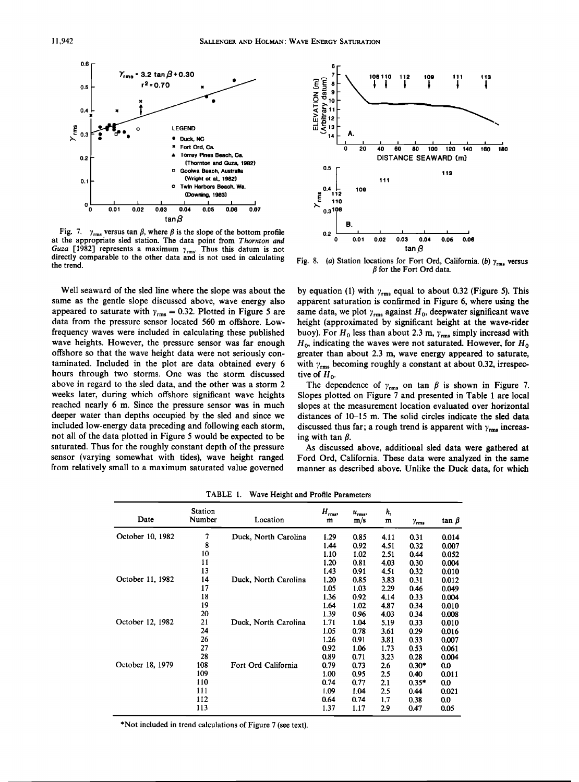

Fig. 7.  $\gamma_{rms}$  versus tan  $\beta$ , where  $\beta$  is the slope of the bottom profile **at the appropriate sled station. The data point from Thornton and**  Guza [1982] represents a maximum  $\gamma_{\rm rms}$ . Thus this datum is not **directly comparable to the other data and is not used in calculating the trend.** 

**Well seaward of the sled line where the slope was about the same as the gentle slope discussed above, wave energy also**  appeared to saturate with  $\gamma_{\text{rms}} = 0.32$ . Plotted in Figure 5 are **data from the pressure sensor located 560 m offshore. Lowfrequency waves were included in calculating these published wave heights. However, the pressure sensor was far enough offshore so that the wave height data were not seriously contaminated. Included in the plot are data obtained every 6 hours through two storms. One was the storm discussed above in regard to the sled data, and the other was a storm 2 weeks later, during which offshore significant wave heights reached nearly 6 m. Since the pressure sensor was in much deeper water than depths occupied by the sled and since we included low-energy data preceding and following each storm, not all of the data plotted in Figure 5 would be expected to be saturated. Thus for the roughly constant depth of the pressure sensor (varying somewhat with tides), wave height ranged from relatively small to a maximum saturated value governed** 



Fig. 8. (a) Station locations for Fort Ord, California. (b)  $\gamma_{\rm rms}$  versus **fi for the Fort Ord data.** 

by equation (1) with  $\gamma_{\rm rms}$  equal to about 0.32 (Figure 5). This **apparent saturation is confirmed in Figure 6, where using the**  same data, we plot  $\gamma_{\rm rms}$  against  $H_0$ , deepwater significant wave **height (approximated by significant height at the wave-rider**  buoy). For  $H_0$  less than about 2.3 m,  $\gamma_{\rm rms}$  simply increasd with  $H_0$ , indicating the waves were not saturated. However, for  $H_0$ **greater than about 2.3 m, wave energy appeared to saturate,**  with  $\gamma_{\rm rms}$  becoming roughly a constant at about 0.32, irrespective of  $H_0$ .

The dependence of  $\gamma_{\text{rms}}$  on tan  $\beta$  is shown in Figure 7. **Slopes plotted on Figure 7 and presented in Table 1 are local slopes at the measurement location evaluated over horizontal distances of 10-15 m. The solid circles indicate the sled data**  discussed thus far; a rough trend is apparent with  $\gamma_{\rm rms}$  increasing with tan  $\beta$ .

**As discussed above, additional sled data were gathered at Ford Ord, California. These data were analyzed in the same manner as described above. Unlike the Duck data, for which** 

| Date             | <b>Station</b><br>Number | Location             | $H_{\rm rms}$<br>m | $u_{\rm rms}$<br>m/s | h,<br>m | $\gamma_{\rm rms}$ | tan $\beta$ |
|------------------|--------------------------|----------------------|--------------------|----------------------|---------|--------------------|-------------|
| October 10, 1982 | 7                        | Duck, North Carolina | 1.29               | 0.85                 | 4.11    | 0.31               | 0.014       |
|                  | 8                        |                      | 1.44               | 0.92                 | 4.51    | 0.32               | 0.007       |
|                  | 10                       |                      | 1.10               | 1.02                 | 2.51    | 0.44               | 0.052       |
|                  | 11                       |                      | 1.20               | 0.81                 | 4.03    | 0.30               | 0.004       |
|                  | 13                       |                      | 1.43               | 0.91                 | 4.51    | 0.32               | 0.010       |
| October 11, 1982 | 14                       | Duck, North Carolina | 1.20               | 0.85                 | 3.83    | 0.31               | 0.012       |
|                  | 17                       |                      | 1.05               | 1.03                 | 2.29    | 0.46               | 0.049       |
|                  | 18                       |                      | 1.36               | 0.92                 | 4.14    | 0.33               | 0.004       |
|                  | 19                       |                      | 1.64               | 1.02                 | 4.87    | 0.34               | 0.010       |
|                  | 20                       |                      | 1.39               | 0.96                 | 4.03    | 0.34               | 0.008       |
| October 12, 1982 | 21                       | Duck, North Carolina | 1.71               | 1.04                 | 5.19    | 0.33               | 0.010       |
|                  | 24                       |                      | 1.05               | 0.78                 | 3.61    | 0.29               | 0.016       |
|                  | 26                       |                      | 1.26               | 0.91                 | 3.81    | 0.33               | 0.007       |
|                  | 27                       |                      | 0.92               | 1.06                 | 1.73    | 0.53               | 0.061       |
|                  | 28                       |                      | 0.89               | 0.71                 | 3.23    | 0.28               | 0.004       |
| October 18, 1979 | 108                      | Fort Ord California  | 0.79               | 0.73                 | 2.6     | $0.30*$            | 0.0         |
|                  | 109                      |                      | 1.00               | 0.95                 | 2.5     | 0.40               | 0.011       |
|                  | 110                      |                      | 0.74               | 0.77                 | 2.1     | $0.35*$            | 0.0         |
|                  | 111                      |                      | 1.09               | 1.04                 | 2.5     | 0,44               | 0.021       |
|                  | 112                      |                      | 0.64               | 0.74                 | 1.7     | 0.38               | 0.0         |
|                  | 113                      |                      | 1.37               | 1.17                 | 2.9     | 0.47               | 0.05        |

**TABLE 1. Wave Height and Profile Parameters** 

**\*Not included in trend calculations of Figure 7 (see text).**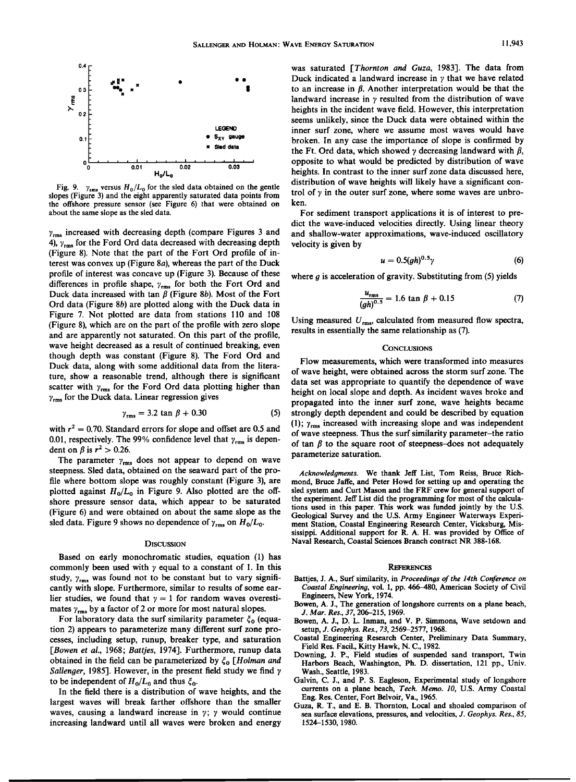

Fig. 9.  $\gamma_{\text{rms}}$  versus  $H_0/L_0$  for the sled data obtained on the gentle **slopes (Figure 3) and the eight apparently saturated data points from the offshore pressure sensor (see Figure 6) that were obtained on about the same slope as the sled data.** 

 $\gamma_{\rm rms}$  increased with decreasing depth (compare Figures 3 and 4),  $\gamma_{\rm rms}$  for the Ford Ord data decreased with decreasing depth **(Figure 8). Note that the part of the Fort Ord profile of interest was convex up (Figure 8a), whereas the part of the Duck profile of interest was concave up (Figure 3). Because of these**  differences in profile shape,  $\gamma_{\rm rms}$  for both the Fort Ord and Duck data increased with tan  $\beta$  (Figure 8b). Most of the Fort **Ord data (Figure 8b) are plotted along with the Duck data in Figure 7. Not plotted are data from stations 110 and 108 (Figure 8), which are on the part of the profile with zero slope and are apparently not saturated. On this part of the profile, wave height decreased as a result of continued breaking, even though depth was constant (Figure 8). The Ford Ord and Duck data, along with some additional data from the literature, show a reasonable trend, although there is significant**  scatter with  $\gamma_{\rm rms}$  for the Ford Ord data plotting higher than  $\gamma_{rms}$  for the Duck data. Linear regression gives

$$
\gamma_{\rm rms} = 3.2 \tan \beta + 0.30 \tag{5}
$$

with  $r^2 = 0.70$ . Standard errors for slope and offset are 0.5 and 0.01, respectively. The 99% confidence level that  $\gamma_{\rm rms}$  is dependent on  $\beta$  is  $r^2 > 0.26$ .

The parameter  $\gamma_{\rm rms}$  does not appear to depend on wave **steepness. Sled data, obtained on the seaward part of the profile where bottom slope was roughly constant (Figure 3), are**  plotted against  $H_0/L_0$  in Figure 9. Also plotted are the off**shore pressure sensor data, which appear to be saturated (Figure 6) and were obtained on about the same slope as the**  sled data. Figure 9 shows no dependence of  $\gamma_{\rm rms}$  on  $H_0/L_0$ .

## **DISCUSSION**

**Based on early monochromatic studies, equation (1) has**  commonly been used with  $\gamma$  equal to a constant of 1. In this study,  $\gamma_{\rm rms}$  was found not to be constant but to vary signifi**cantly with slope. Furthermore, similar to results of some ear**lier studies, we found that  $y = 1$  for random waves overestimates  $\gamma_{\rm rms}$  by a factor of 2 or more for most natural slopes.

For laboratory data the surf similarity parameter  $\xi_0$  (equa**tion 2) appears to parameterize many different surf zone processes, including setup, runup, breaker type, and saturation [Bowen et al., 1968; Batties, 1974]. Furthermore, runup data**  obtained in the field can be parameterized by  $\xi_0$  [Holman and Sallenger, 1985]. However, in the present field study we find  $\gamma$ to be independent of  $H_0/L_0$  and thus  $\xi_0$ .

**In the field there is a distribution of wave heights, and the largest waves will break farther offshore than the smaller**  waves, causing a landward increase in  $\gamma$ ;  $\gamma$  would continue **increasing landward until all waves were broken and energy** 

**was saturated [Thornton and Guza, 1983]. The data from**  Duck indicated a landward increase in  $\gamma$  that we have related to an increase in  $\beta$ . Another interpretation would be that the landward increase in  $\gamma$  resulted from the distribution of wave **heights in the incident wave field. However, this interpretation seems unlikely, since the Duck data were obtained within the inner surf zone, where we assume most waves would have broken. In any case the importance of slope is confirmed by**  the Ft. Ord data, which showed  $\gamma$  decreasing landward with  $\beta$ , **opposite to what would be predicted by distribution of wave heights. In contrast to the inner surf zone data discussed here, distribution of wave heights will likely have a significant con**trol of  $\gamma$  in the outer surf zone, where some waves are unbro**ken.** 

**For sediment transport applications it is of interest to predict the wave-induced velocities directly. Using linear theory and shallow-water approximations, wave-induced oscillatory velocity is given by** 

$$
u = 0.5(gh)^{0.5}\gamma\tag{6}
$$

**where g is acceleration of gravity. Substituting from (5) yields** 

$$
\frac{u_{\rm rms}}{(gh)^{0.5}} = 1.6 \tan \beta + 0.15 \tag{7}
$$

Using measured  $U_{\rm rms}$ , calculated from measured flow spectra, **results in essentially the same relationship as (7).** 

### **CONCLUSIONS**

**Flow measurements, which were transformed into measures of wave height, were obtained across the storm surf zone. The data set was appropriate to quantify the dependence of wave height on local slope and depth. As incident waves broke and propagated into the inner surf zone, wave heights became strongly depth dependent and could be described by equation**  (1);  $\gamma_{\text{rms}}$  increased with increasing slope and was independent **of wave steepness. Thus the surf similarity parameter-the ratio**  of tan  $\beta$  to the square root of steepness-does not adequately **parameterize saturation.** 

**Acknowledgments. We thank Jeff List, Tom Reiss, Bruce Richmond, Bruce Jaffe, and Peter Howd for setting up and operating the sled system and Curt Mason and the FRF crew for general support of the experiment. Jeff List did the programming for most of the calculations used in this paper. This work was funded jointly by the U.S. Geological Survey and the U.S. Army Engineer Waterways Experiment Station, Coastal Engineering Research Center, Vicksburg, Mississippi. Additional support for R. A. H. was provided by Office of Naval Research, Coastal Sciences Branch contract NR 388-168.** 

#### **REFERENCES**

- Battjes, J. A., Surf similarity, in Proceedings of the 14th Conference on **Coastal Engineering, vol. 1, pp. 466-480, American Society of Civil Engineers, New York, 1974.**
- **Bowen, A. J., The generation of longshore currents on a plane beach, or. Mar. Res., 37, 206-215, 1969.**
- **Bowen, A. J., D. L. Inman, and V. P. Simmons, Wave setdown and**  setup, *J. Geophys. Res., 73, 2569-2577, 1968.*
- **Coastal Engineering Research Center, Preliminary Data Summary, Field Res. Facil., Kitty Hawk, N. C., 1982.**
- **Downing, J.P., Field studies of suspended sand transport, Twin**  Harbors Beach, Washington, Ph. D. dissertation, 121 pp., Univ. **Wash., Seattle, 1983.**
- **Galvin, C. J., and P.S. Eagleson, Experimental study of longshore currents on a plane beach, Tech. Memo. 10, U.S. Army Coastal Eng. Res. Center, Fort Belvoir, Va., 1965.**
- **Guza, R. T., and E. B. Thornton, Local and shoaled comparison of**  sea surface elevations, pressures, and velocities, J. Geophys. Res., 85, **1524-1530, 1980.**